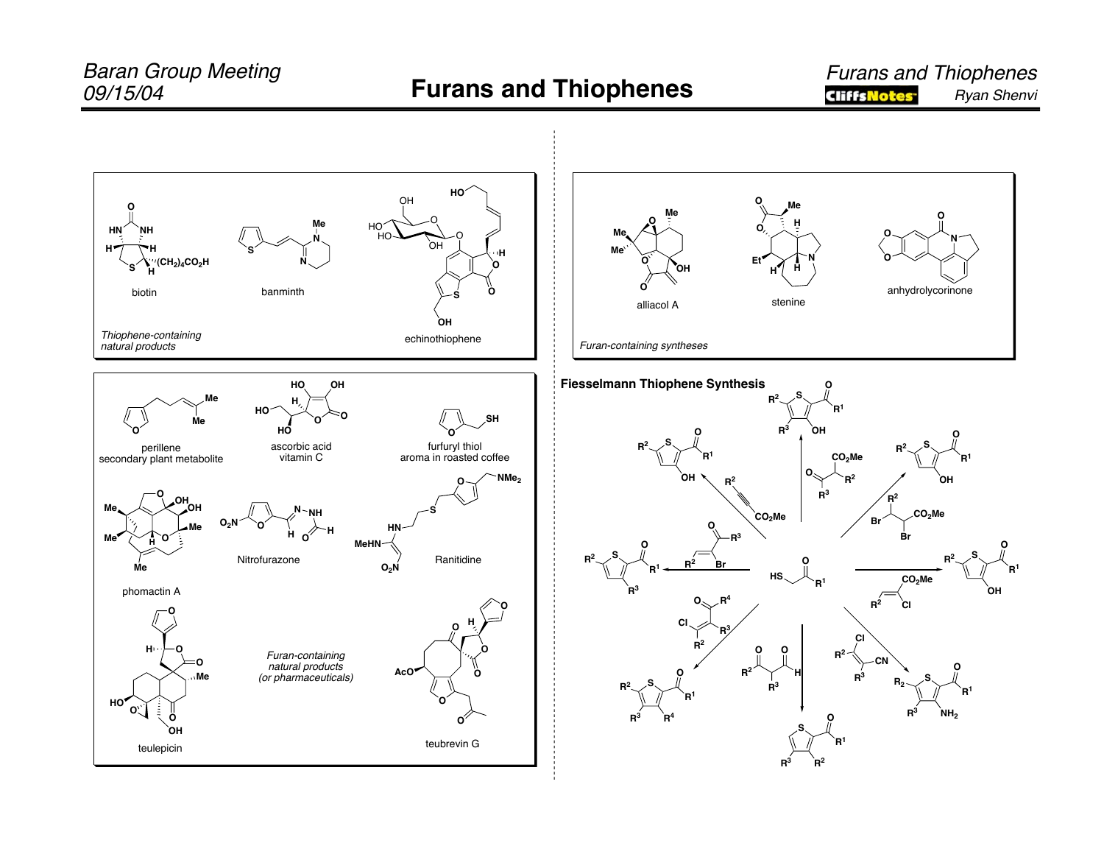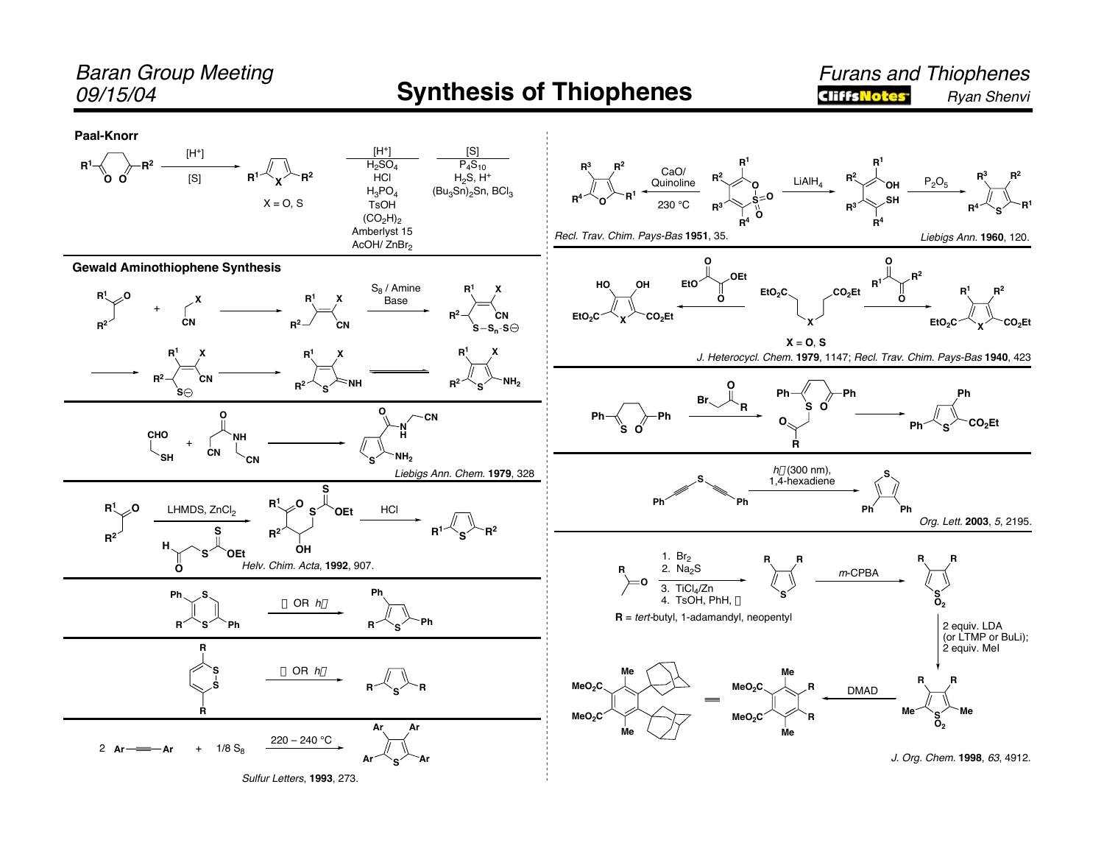## Baran Group Meeting

## 09/15/04 **Synthesis of Thiophenes**

Furans and Thiophenes **CliffsNotes** Ryan Shenvi

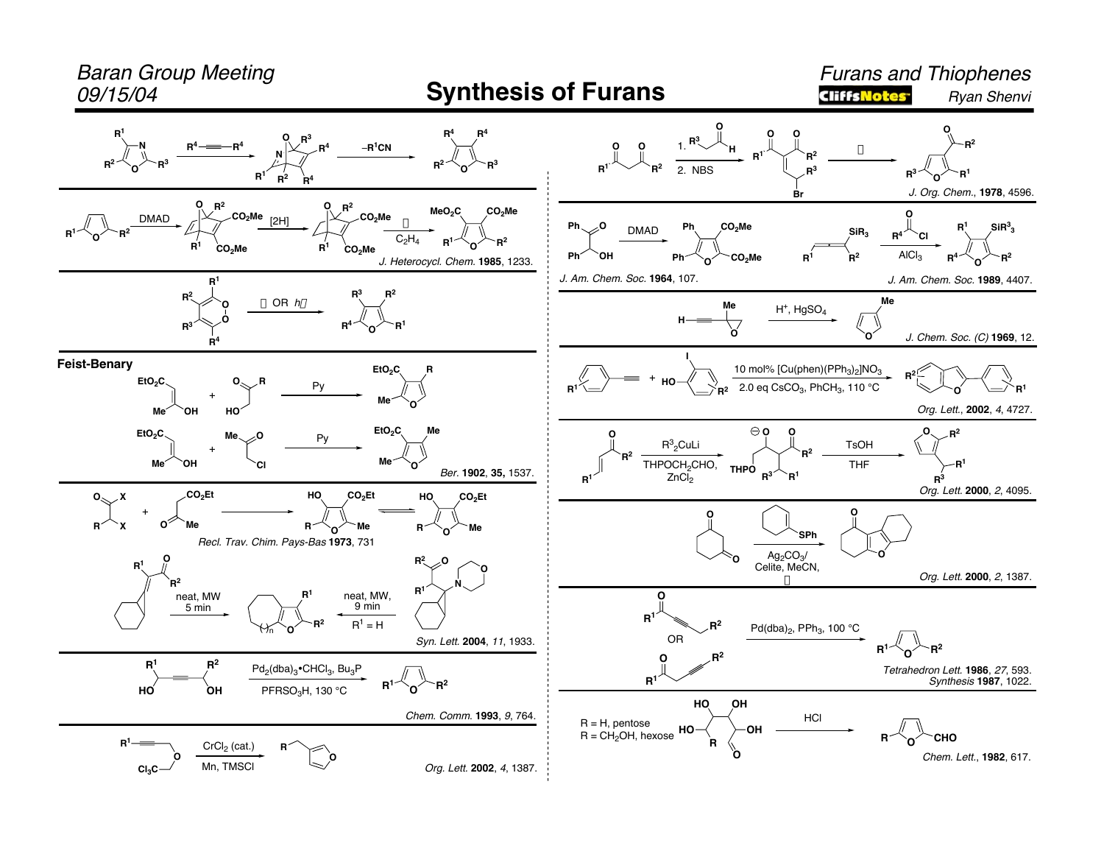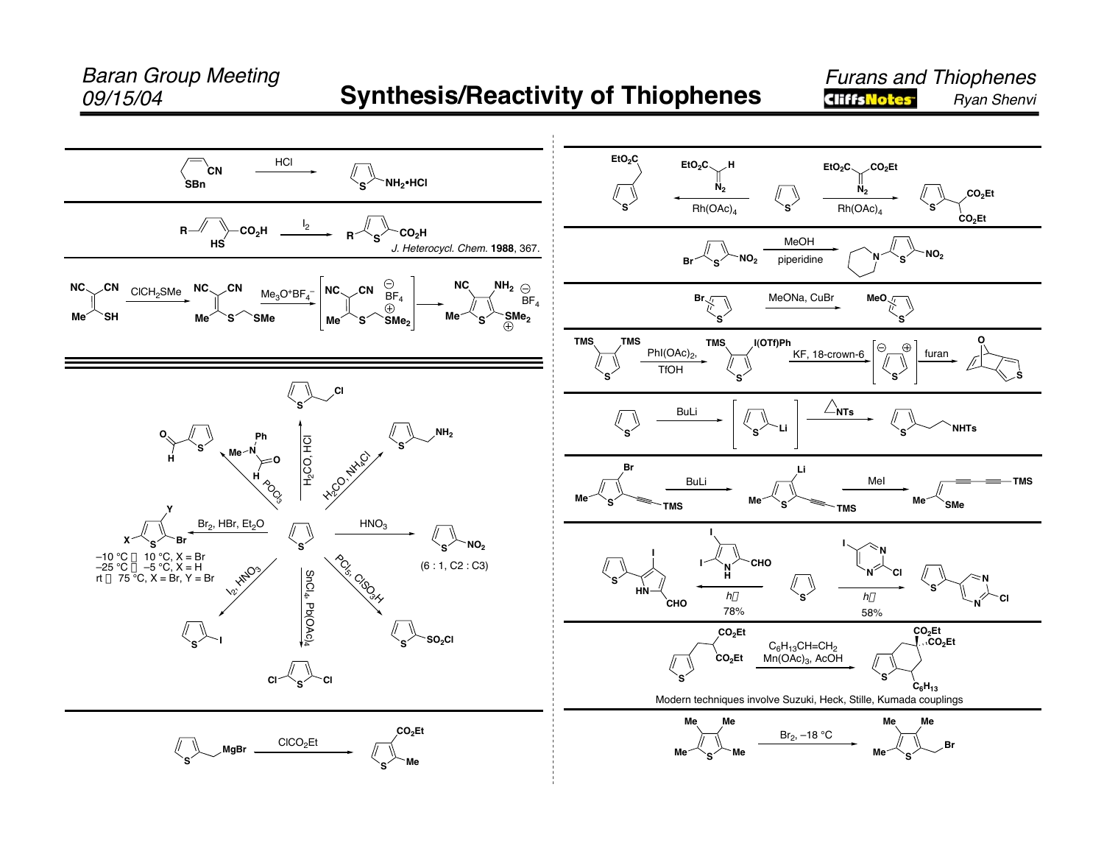## 09/15/04 **Synthesis/Reactivity of Thiophenes**

**Furans and Thiophenes**<br>**GIFFSNORES** *Byan Shenvi* Ryan Shenvi

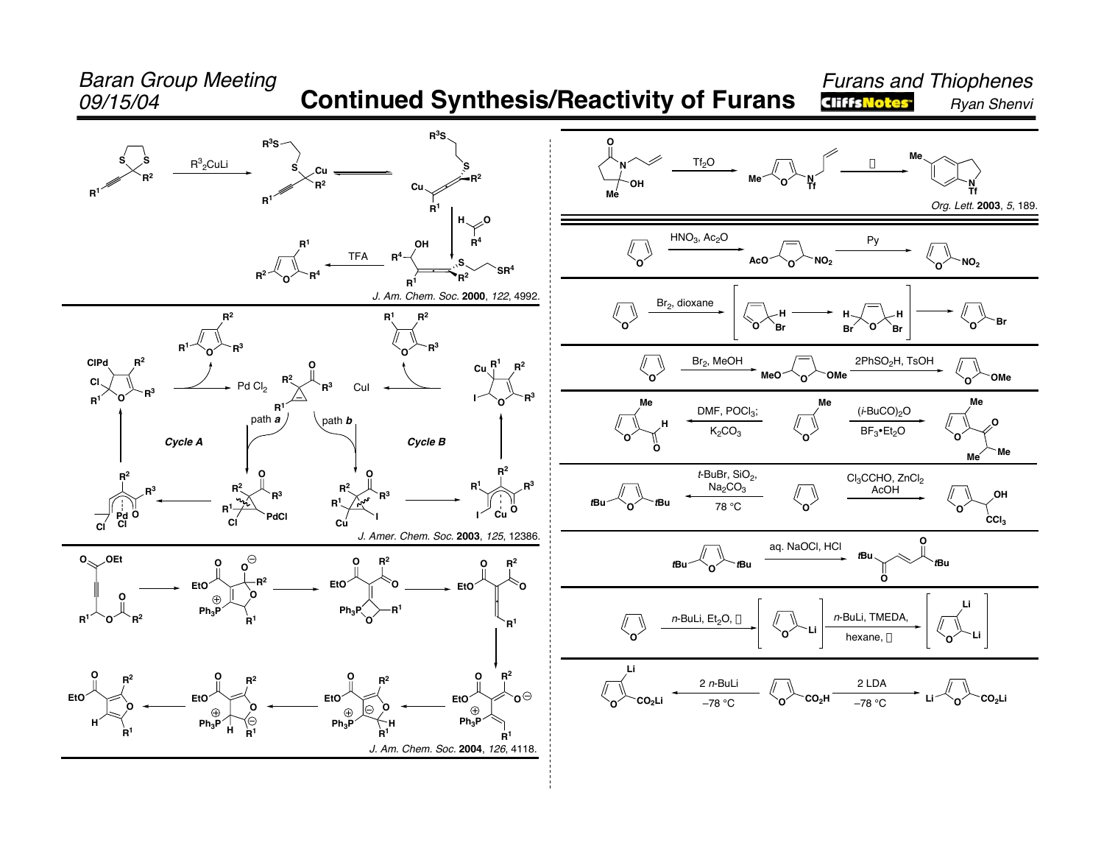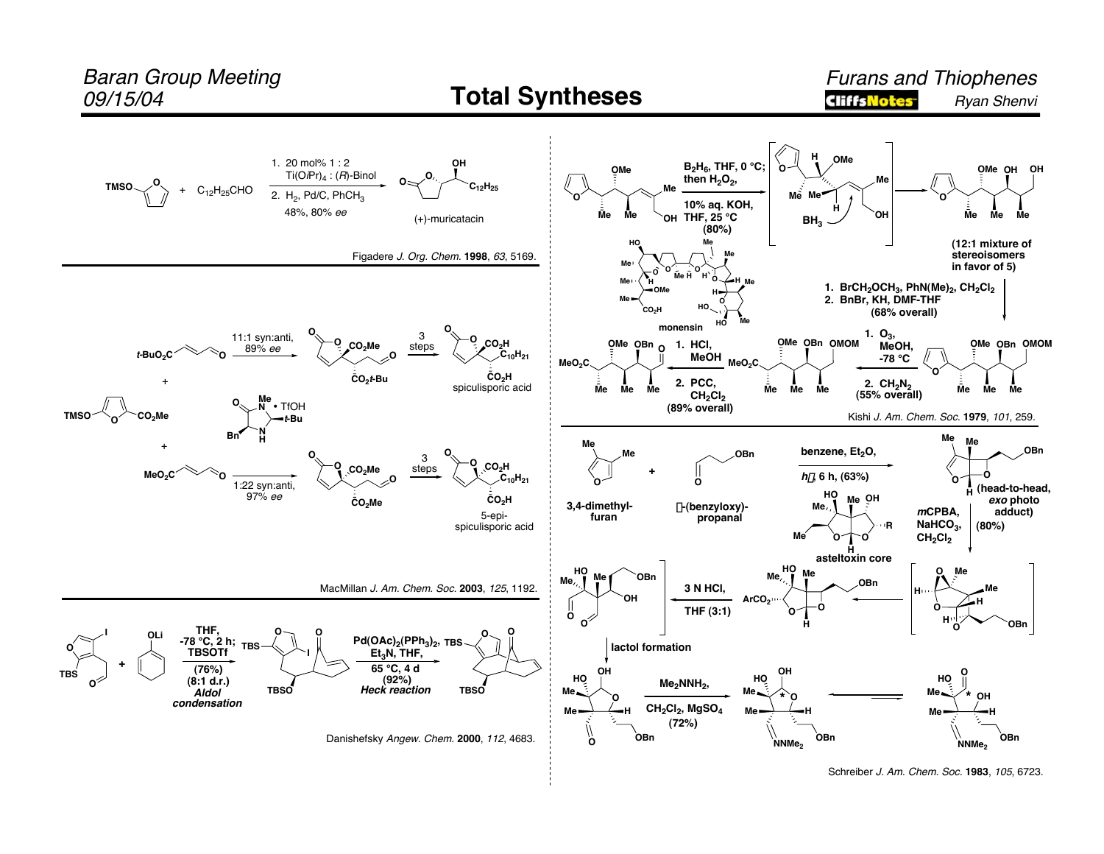

Schreiber J. Am. Chem. Soc. 1983, 105, 6723.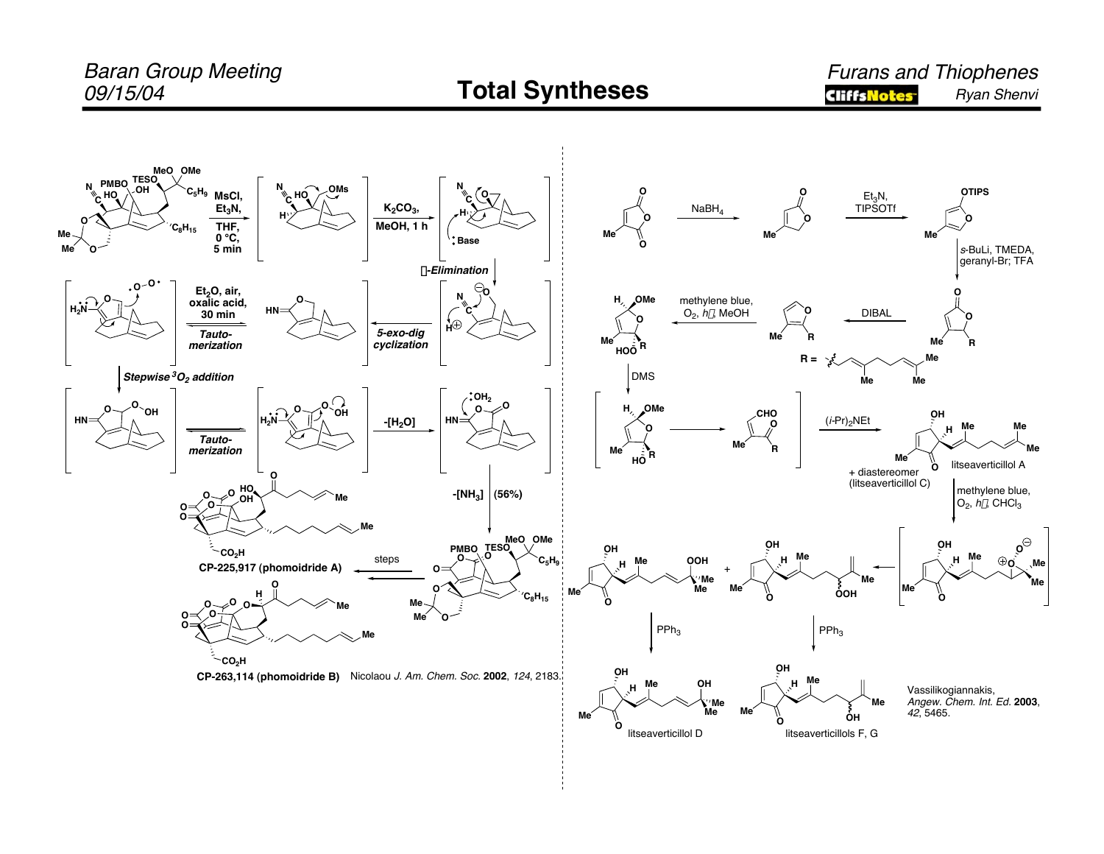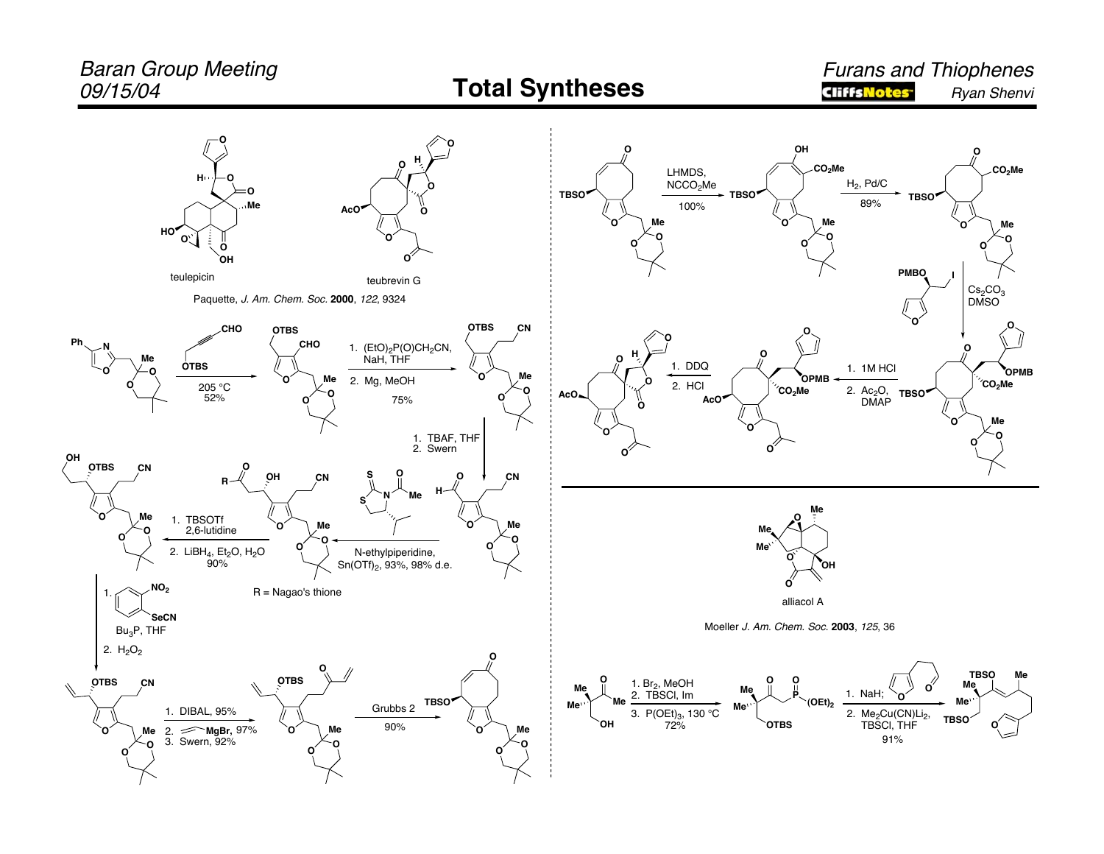